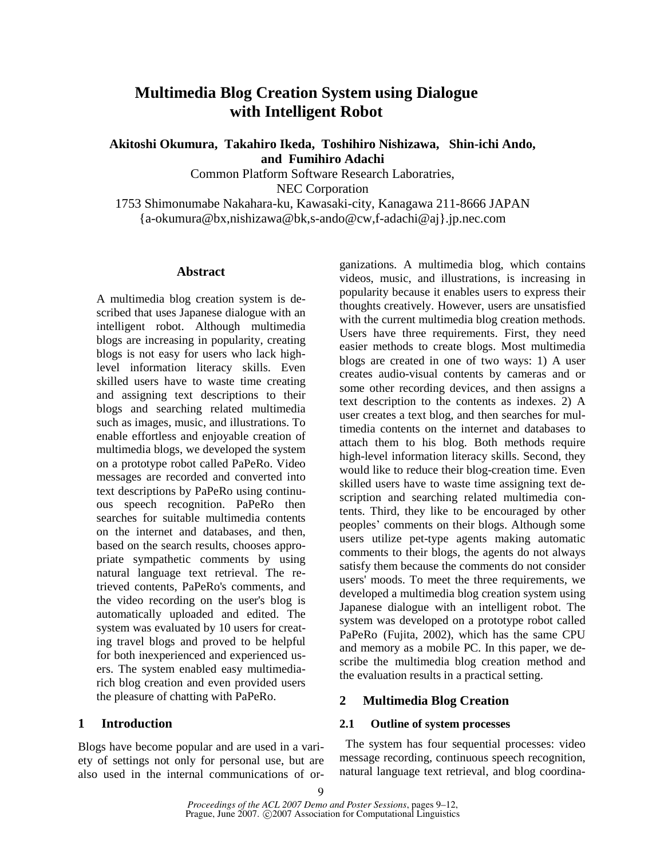# **Multimedia Blog Creation System using Dialogue with Intelligent Robot**

**Akitoshi Okumura, Takahiro Ikeda, Toshihiro Nishizawa, Shin-ichi Ando, and Fumihiro Adachi**

Common Platform Software Research Laboratries,

NEC Corporation

1753 Shimonumabe Nakahara-ku, Kawasaki-city, Kanagawa 211-8666 JAPAN

{a-okumura@bx,nishizawa@bk,s-ando@cw,f-adachi@aj}.jp.nec.com

#### **Abstract**

A multimedia blog creation system is described that uses Japanese dialogue with an intelligent robot. Although multimedia blogs are increasing in popularity, creating blogs is not easy for users who lack highlevel information literacy skills. Even skilled users have to waste time creating and assigning text descriptions to their blogs and searching related multimedia such as images, music, and illustrations. To enable effortless and enjoyable creation of multimedia blogs, we developed the system on a prototype robot called PaPeRo. Video messages are recorded and converted into text descriptions by PaPeRo using continuous speech recognition. PaPeRo then searches for suitable multimedia contents on the internet and databases, and then, based on the search results, chooses appropriate sympathetic comments by using natural language text retrieval. The retrieved contents, PaPeRo's comments, and the video recording on the user's blog is automatically uploaded and edited. The system was evaluated by 10 users for creating travel blogs and proved to be helpful for both inexperienced and experienced users. The system enabled easy multimediarich blog creation and even provided users the pleasure of chatting with PaPeRo.

## **1 Introduction**

Blogs have become popular and are used in a variety of settings not only for personal use, but are also used in the internal communications of organizations. A multimedia blog, which contains videos, music, and illustrations, is increasing in popularity because it enables users to express their thoughts creatively. However, users are unsatisfied with the current multimedia blog creation methods. Users have three requirements. First, they need easier methods to create blogs. Most multimedia blogs are created in one of two ways: 1) A user creates audio-visual contents by cameras and or some other recording devices, and then assigns a text description to the contents as indexes. 2) A user creates a text blog, and then searches for multimedia contents on the internet and databases to attach them to his blog. Both methods require high-level information literacy skills. Second, they would like to reduce their blog-creation time. Even skilled users have to waste time assigning text description and searching related multimedia contents. Third, they like to be encouraged by other peoples' comments on their blogs. Although some users utilize pet-type agents making automatic comments to their blogs, the agents do not always satisfy them because the comments do not consider users' moods. To meet the three requirements, we developed a multimedia blog creation system using Japanese dialogue with an intelligent robot. The system was developed on a prototype robot called PaPeRo (Fujita, 2002), which has the same CPU and memory as a mobile PC. In this paper, we describe the multimedia blog creation method and the evaluation results in a practical setting.

## **2 Multimedia Blog Creation**

#### **2.1 Outline of system processes**

The system has four sequential processes: video message recording, continuous speech recognition, natural language text retrieval, and blog coordina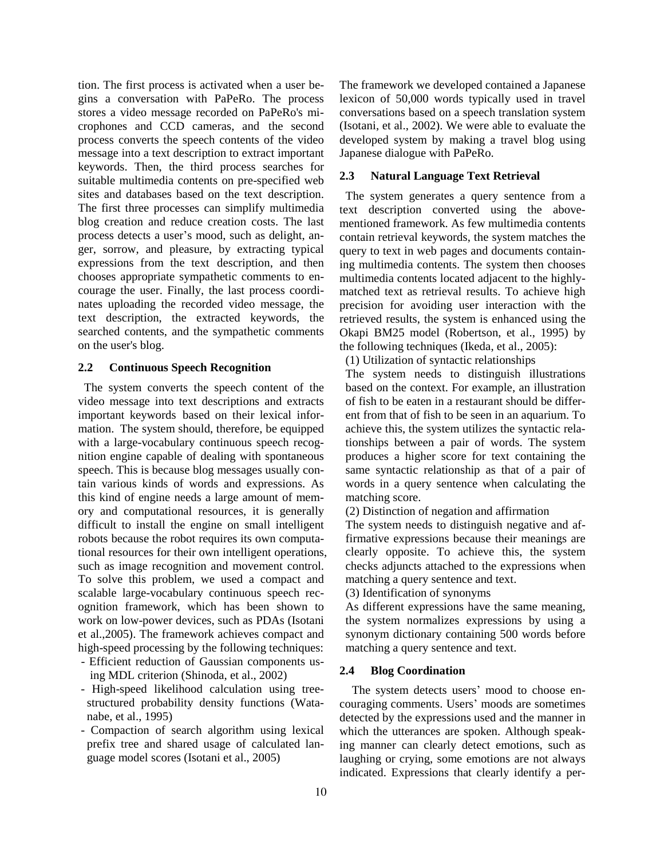tion. The first process is activated when a user begins a conversation with PaPeRo. The process stores a video message recorded on PaPeRo's microphones and CCD cameras, and the second process converts the speech contents of the video message into a text description to extract important keywords. Then, the third process searches for suitable multimedia contents on pre-specified web sites and databases based on the text description. The first three processes can simplify multimedia blog creation and reduce creation costs. The last process detects a user's mood, such as delight, anger, sorrow, and pleasure, by extracting typical expressions from the text description, and then chooses appropriate sympathetic comments to encourage the user. Finally, the last process coordinates uploading the recorded video message, the text description, the extracted keywords, the searched contents, and the sympathetic comments on the user's blog.

#### **2.2 Continuous Speech Recognition**

The system converts the speech content of the video message into text descriptions and extracts important keywords based on their lexical information. The system should, therefore, be equipped with a large-vocabulary continuous speech recognition engine capable of dealing with spontaneous speech. This is because blog messages usually contain various kinds of words and expressions. As this kind of engine needs a large amount of memory and computational resources, it is generally difficult to install the engine on small intelligent robots because the robot requires its own computational resources for their own intelligent operations, such as image recognition and movement control. To solve this problem, we used a compact and scalable large-vocabulary continuous speech recognition framework, which has been shown to work on low-power devices, such as PDAs (Isotani et al.,2005). The framework achieves compact and high-speed processing by the following techniques:

- Efficient reduction of Gaussian components using MDL criterion (Shinoda, et al., 2002)
- High-speed likelihood calculation using treestructured probability density functions (Watanabe, et al., 1995)
- Compaction of search algorithm using lexical prefix tree and shared usage of calculated language model scores (Isotani et al., 2005)

The framework we developed contained a Japanese lexicon of 50,000 words typically used in travel conversations based on a speech translation system (Isotani, et al., 2002). We were able to evaluate the developed system by making a travel blog using Japanese dialogue with PaPeRo.

## **2.3 Natural Language Text Retrieval**

The system generates a query sentence from a text description converted using the abovementioned framework. As few multimedia contents contain retrieval keywords, the system matches the query to text in web pages and documents containing multimedia contents. The system then chooses multimedia contents located adjacent to the highlymatched text as retrieval results. To achieve high precision for avoiding user interaction with the retrieved results, the system is enhanced using the Okapi BM25 model (Robertson, et al., 1995) by the following techniques (Ikeda, et al., 2005):

(1) Utilization of syntactic relationships

The system needs to distinguish illustrations based on the context. For example, an illustration of fish to be eaten in a restaurant should be different from that of fish to be seen in an aquarium. To achieve this, the system utilizes the syntactic relationships between a pair of words. The system produces a higher score for text containing the same syntactic relationship as that of a pair of words in a query sentence when calculating the matching score.

(2) Distinction of negation and affirmation

The system needs to distinguish negative and affirmative expressions because their meanings are clearly opposite. To achieve this, the system checks adjuncts attached to the expressions when matching a query sentence and text.

(3) Identification of synonyms

As different expressions have the same meaning, the system normalizes expressions by using a synonym dictionary containing 500 words before matching a query sentence and text.

## **2.4 Blog Coordination**

The system detects users' mood to choose encouraging comments. Users' moods are sometimes detected by the expressions used and the manner in which the utterances are spoken. Although speaking manner can clearly detect emotions, such as laughing or crying, some emotions are not always indicated. Expressions that clearly identify a per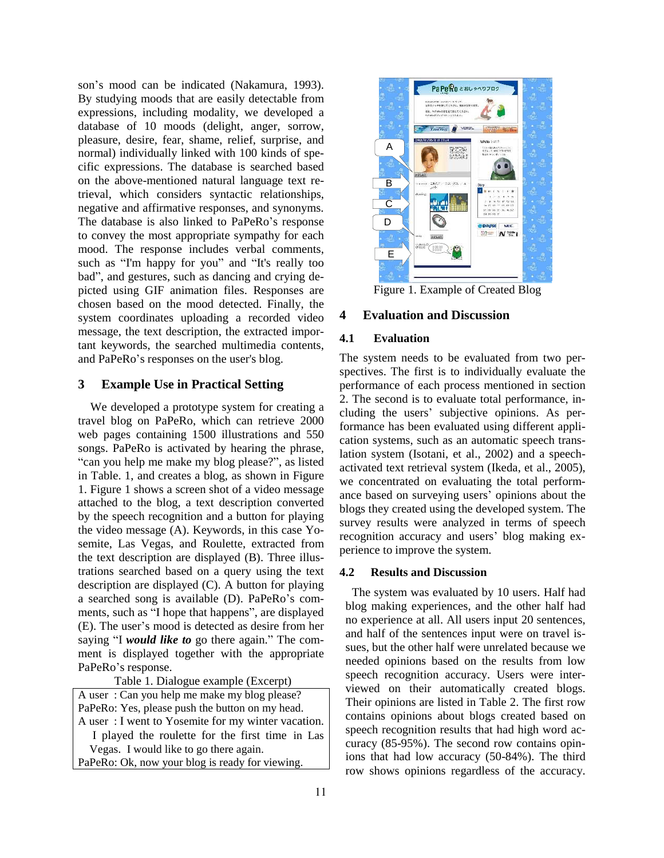son's mood can be indicated (Nakamura, 1993). By studying moods that are easily detectable from expressions, including modality, we developed a database of 10 moods (delight, anger, sorrow, pleasure, desire, fear, shame, relief, surprise, and normal) individually linked with 100 kinds of specific expressions. The database is searched based on the above-mentioned natural language text retrieval, which considers syntactic relationships, negative and affirmative responses, and synonyms. The database is also linked to PaPeRo's response to convey the most appropriate sympathy for each mood. The response includes verbal comments, such as "I'm happy for you" and "It's really too bad", and gestures, such as dancing and crying depicted using GIF animation files. Responses are chosen based on the mood detected. Finally, the system coordinates uploading a recorded video message, the text description, the extracted important keywords, the searched multimedia contents, and PaPeRo's responses on the user's blog.

## **3 Example Use in Practical Setting**

We developed a prototype system for creating a travel blog on PaPeRo, which can retrieve 2000 web pages containing 1500 illustrations and 550 songs. PaPeRo is activated by hearing the phrase, "can you help me make my blog please?", as listed in Table. 1, and creates a blog, as shown in Figure 1. Figure 1 shows a screen shot of a video message attached to the blog, a text description converted by the speech recognition and a button for playing the video message (A). Keywords, in this case Yosemite, Las Vegas, and Roulette, extracted from the text description are displayed (B). Three illustrations searched based on a query using the text description are displayed (C). A button for playing a searched song is available (D). PaPeRo's comments, such as "I hope that happens", are displayed (E). The user's mood is detected as desire from her saying "I *would like to* go there again." The comment is displayed together with the appropriate PaPeRo's response.

Table 1. Dialogue example (Excerpt)

A user : Can you help me make my blog please? PaPeRo: Yes, please push the button on my head. A user : I went to Yosemite for my winter vacation. I played the roulette for the first time in Las Vegas. I would like to go there again. PaPeRo: Ok, now your blog is ready for viewing.



Figure 1. Example of Created Blog

# **4 Evaluation and Discussion**

## **4.1 Evaluation**

The system needs to be evaluated from two perspectives. The first is to individually evaluate the performance of each process mentioned in section 2. The second is to evaluate total performance, including the users' subjective opinions. As performance has been evaluated using different application systems, such as an automatic speech translation system (Isotani, et al., 2002) and a speechactivated text retrieval system (Ikeda, et al., 2005), we concentrated on evaluating the total performance based on surveying users' opinions about the blogs they created using the developed system. The survey results were analyzed in terms of speech recognition accuracy and users' blog making experience to improve the system.

## **4.2 Results and Discussion**

The system was evaluated by 10 users. Half had blog making experiences, and the other half had no experience at all. All users input 20 sentences, and half of the sentences input were on travel issues, but the other half were unrelated because we needed opinions based on the results from low speech recognition accuracy. Users were interviewed on their automatically created blogs. Their opinions are listed in Table 2. The first row contains opinions about blogs created based on speech recognition results that had high word accuracy (85-95%). The second row contains opinions that had low accuracy (50-84%). The third row shows opinions regardless of the accuracy.